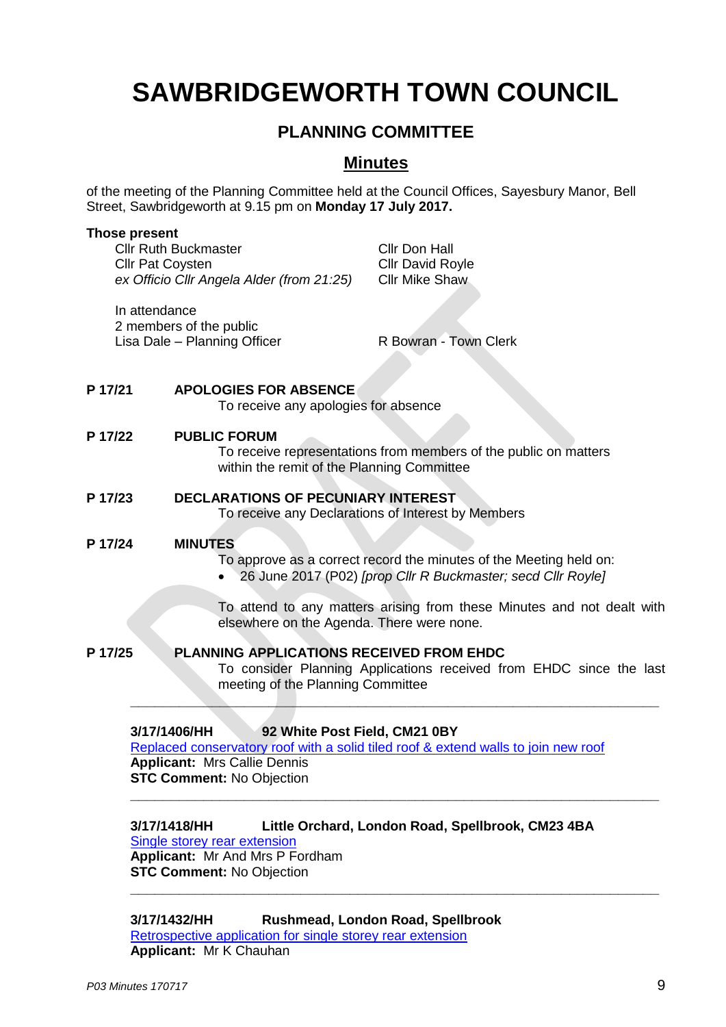# **SAWBRIDGEWORTH TOWN COUNCIL**

# **PLANNING COMMITTEE**

## **Minutes**

of the meeting of the Planning Committee held at the Council Offices, Sayesbury Manor, Bell Street, Sawbridgeworth at 9.15 pm on **Monday 17 July 2017.**

### **Those present**

|         | <b>Cllr Ruth Buckmaster</b><br>Cllr Don Hall<br><b>Cllr Pat Coysten</b><br><b>Cllr David Royle</b><br>ex Officio Cllr Angela Alder (from 21:25)<br><b>Cllr Mike Shaw</b>                                       |
|---------|----------------------------------------------------------------------------------------------------------------------------------------------------------------------------------------------------------------|
|         | In attendance<br>2 members of the public<br>Lisa Dale - Planning Officer<br>R Bowran - Town Clerk                                                                                                              |
| P 17/21 | <b>APOLOGIES FOR ABSENCE</b><br>To receive any apologies for absence                                                                                                                                           |
| P 17/22 | <b>PUBLIC FORUM</b><br>To receive representations from members of the public on matters<br>within the remit of the Planning Committee                                                                          |
| P 17/23 | <b>DECLARATIONS OF PECUNIARY INTEREST</b><br>To receive any Declarations of Interest by Members                                                                                                                |
| P 17/24 | <b>MINUTES</b><br>To approve as a correct record the minutes of the Meeting held on:<br>26 June 2017 (P02) [prop Cllr R Buckmaster; secd Cllr Royle]                                                           |
|         | To attend to any matters arising from these Minutes and not dealt with<br>elsewhere on the Agenda. There were none.                                                                                            |
| P 17/25 | <b>PLANNING APPLICATIONS RECEIVED FROM EHDC</b><br>To consider Planning Applications received from EHDC since the last<br>meeting of the Planning Committee                                                    |
|         | 3/17/1406/HH<br>92 White Post Field, CM21 0BY<br>Replaced conservatory roof with a solid tiled roof & extend walls to join new roof<br><b>Applicant: Mrs Callie Dennis</b><br><b>STC Comment: No Objection</b> |
|         | 3/17/1418/HH<br>Little Orchard, London Road, Spellbrook, CM23 4BA                                                                                                                                              |

[Single storey rear extension](https://publicaccess.eastherts.gov.uk/online-applications/applicationDetails.do?activeTab=summary&keyVal=ORSF46GL00X00) **Applicant:** Mr And Mrs P Fordham **STC Comment:** No Objection

**3/17/1432/HH Rushmead, London Road, Spellbrook** [Retrospective application for single storey rear extension](https://publicaccess.eastherts.gov.uk/online-applications/applicationDetails.do?activeTab=summary&keyVal=ORUEMKGLHBG00) **Applicant:** Mr K Chauhan

**\_\_\_\_\_\_\_\_\_\_\_\_\_\_\_\_\_\_\_\_\_\_\_\_\_\_\_\_\_\_\_\_\_\_\_\_\_\_\_\_\_\_\_\_\_\_\_\_\_\_\_\_\_\_\_\_\_\_\_\_\_\_\_\_\_**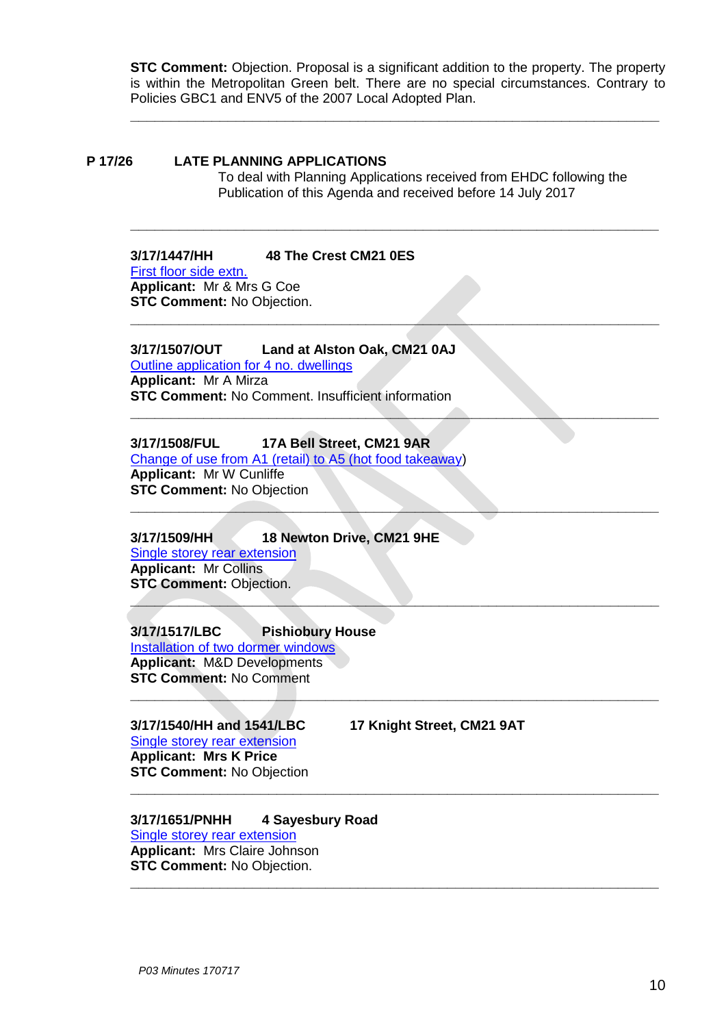**STC Comment:** Objection. Proposal is a significant addition to the property. The property is within the Metropolitan Green belt. There are no special circumstances. Contrary to Policies GBC1 and ENV5 of the 2007 Local Adopted Plan.

**\_\_\_\_\_\_\_\_\_\_\_\_\_\_\_\_\_\_\_\_\_\_\_\_\_\_\_\_\_\_\_\_\_\_\_\_\_\_\_\_\_\_\_\_\_\_\_\_\_\_\_\_\_\_\_\_\_\_\_\_\_\_\_\_\_**

**\_\_\_\_\_\_\_\_\_\_\_\_\_\_\_\_\_\_\_\_\_\_\_\_\_\_\_\_\_\_\_\_\_\_\_\_\_\_\_\_\_\_\_\_\_\_\_\_\_\_\_\_\_\_\_\_\_\_\_\_\_\_\_\_\_**

**\_\_\_\_\_\_\_\_\_\_\_\_\_\_\_\_\_\_\_\_\_\_\_\_\_\_\_\_\_\_\_\_\_\_\_\_\_\_\_\_\_\_\_\_\_\_\_\_\_\_\_\_\_\_\_\_\_\_\_\_\_\_\_\_\_**

**\_\_\_\_\_\_\_\_\_\_\_\_\_\_\_\_\_\_\_\_\_\_\_\_\_\_\_\_\_\_\_\_\_\_\_\_\_\_\_\_\_\_\_\_\_\_\_\_\_\_\_\_\_\_\_\_\_\_\_\_\_\_\_\_\_**

**\_\_\_\_\_\_\_\_\_\_\_\_\_\_\_\_\_\_\_\_\_\_\_\_\_\_\_\_\_\_\_\_\_\_\_\_\_\_\_\_\_\_\_\_\_\_\_\_\_\_\_\_\_\_\_\_\_\_\_\_\_\_\_\_\_**

**\_\_\_\_\_\_\_\_\_\_\_\_\_\_\_\_\_\_\_\_\_\_\_\_\_\_\_\_\_\_\_\_\_\_\_\_\_\_\_\_\_\_\_\_\_\_\_\_\_\_\_\_\_\_\_\_\_\_\_\_\_\_\_\_\_**

**\_\_\_\_\_\_\_\_\_\_\_\_\_\_\_\_\_\_\_\_\_\_\_\_\_\_\_\_\_\_\_\_\_\_\_\_\_\_\_\_\_\_\_\_\_\_\_\_\_\_\_\_\_\_\_\_\_\_\_\_\_\_\_\_\_**

### **P 17/26 LATE PLANNING APPLICATIONS** To deal with Planning Applications received from EHDC following the Publication of this Agenda and received before 14 July 2017

### **3/17/1447/HH 48 The Crest CM21 0ES** [First floor side extn.](https://publicaccess.eastherts.gov.uk/online-applications/applicationDetails.do?activeTab=summary&keyVal=OS7DBYGLHG300) **Applicant:** Mr & Mrs G Coe **STC Comment:** No Objection.

### **3/17/1507/OUT Land at Alston Oak, CM21 0AJ**

[Outline application for 4 no. dwellings](https://publicaccess.eastherts.gov.uk/online-applications/applicationDetails.do?activeTab=summary&keyVal=ORMZZ7GLH9Y00) **Applicant:** Mr A Mirza **STC Comment:** No Comment. Insufficient information

### **3/17/1508/FUL 17A Bell Street, CM21 9AR**

[Change of use from A1 \(retail\) to A5 \(hot food takeaway\)](https://publicaccess.eastherts.gov.uk/online-applications/applicationDetails.do?activeTab=summary&keyVal=ORSF46GL00X00) **Applicant:** Mr W Cunliffe **STC Comment:** No Objection **\_\_\_\_\_\_\_\_\_\_\_\_\_\_\_\_\_\_\_\_\_\_\_\_\_\_\_\_\_\_\_\_\_\_\_\_\_\_\_\_\_\_\_\_\_\_\_\_\_\_\_\_\_\_\_\_\_\_\_\_\_\_\_\_\_**

### **3/17/1509/HH 18 Newton Drive, CM21 9HE**

[Single storey rear extension](https://publicaccess.eastherts.gov.uk/online-applications/applicationDetails.do?activeTab=summary&keyVal=ORUEMKGLHBG00) **Applicant:** Mr Collins **STC Comment: Objection.** 

### **3/17/1517/LBC Pishiobury House**

[Installation of two dormer windows](https://publicaccess.eastherts.gov.uk/online-applications/applicationDetails.do?activeTab=summary&keyVal=ORMZZ7GLH9Y00) **Applicant:** M&D Developments **STC Comment:** No Comment **\_\_\_\_\_\_\_\_\_\_\_\_\_\_\_\_\_\_\_\_\_\_\_\_\_\_\_\_\_\_\_\_\_\_\_\_\_\_\_\_\_\_\_\_\_\_\_\_\_\_\_\_\_\_\_\_\_\_\_\_\_\_\_\_\_**

### **3/17/1540/HH and 1541/LBC 17 Knight Street, CM21 9AT**

[Single storey rear extension](https://publicaccess.eastherts.gov.uk/online-applications/applicationDetails.do?activeTab=summary&keyVal=ORSF46GL00X00) **Applicant: Mrs K Price STC Comment:** No Objection

### **3/17/1651/PNHH 4 Sayesbury Road**

[Single storey rear extension](https://publicaccess.eastherts.gov.uk/online-applications/applicationDetails.do?activeTab=summary&keyVal=ORUEMKGLHBG00) **Applicant:** Mrs Claire Johnson **STC Comment:** No Objection.